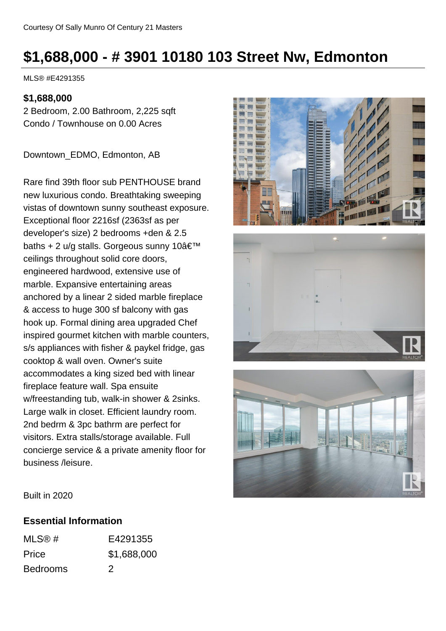# **\$1,688,000 - # 3901 10180 103 Street Nw, Edmonton**

MLS® #E4291355

#### **\$1,688,000**

2 Bedroom, 2.00 Bathroom, 2,225 sqft Condo / Townhouse on 0.00 Acres

Downtown\_EDMO, Edmonton, AB

Rare find 39th floor sub PENTHOUSE brand new luxurious condo. Breathtaking sweeping vistas of downtown sunny southeast exposure. Exceptional floor 2216sf (2363sf as per developer's size) 2 bedrooms +den & 2.5 baths + 2 u/g stalls. Gorgeous sunny  $10\hat{a} \in \mathbb{T}^M$ ceilings throughout solid core doors, engineered hardwood, extensive use of marble. Expansive entertaining areas anchored by a linear 2 sided marble fireplace & access to huge 300 sf balcony with gas hook up. Formal dining area upgraded Chef inspired gourmet kitchen with marble counters, s/s appliances with fisher & paykel fridge, gas cooktop & wall oven. Owner's suite accommodates a king sized bed with linear fireplace feature wall. Spa ensuite w/freestanding tub, walk-in shower & 2sinks. Large walk in closet. Efficient laundry room. 2nd bedrm & 3pc bathrm are perfect for visitors. Extra stalls/storage available. Full concierge service & a private amenity floor for business /leisure.







Built in 2020

#### **Essential Information**

| MLS@#           | E4291355                                                                                                                                                                                                                                                                                                                                                                                                                                                                   |
|-----------------|----------------------------------------------------------------------------------------------------------------------------------------------------------------------------------------------------------------------------------------------------------------------------------------------------------------------------------------------------------------------------------------------------------------------------------------------------------------------------|
| Price           | \$1,688,000                                                                                                                                                                                                                                                                                                                                                                                                                                                                |
| <b>Bedrooms</b> | $\mathcal{D}% =\mathcal{D}(1-\mathcal{D})=\mathcal{D}(1-\mathcal{D})=\mathcal{D}(1-\mathcal{D})=\mathcal{D}(1-\mathcal{D})=\mathcal{D}(1-\mathcal{D})=\mathcal{D}(1-\mathcal{D})=\mathcal{D}(1-\mathcal{D})=\mathcal{D}(1-\mathcal{D})=\mathcal{D}(1-\mathcal{D})=\mathcal{D}(1-\mathcal{D})=\mathcal{D}(1-\mathcal{D})=\mathcal{D}(1-\mathcal{D})=\mathcal{D}(1-\mathcal{D})=\mathcal{D}(1-\mathcal{D})=\mathcal{D}(1-\mathcal{D})=\mathcal{D}(1-\mathcal{D})=\mathcal{D$ |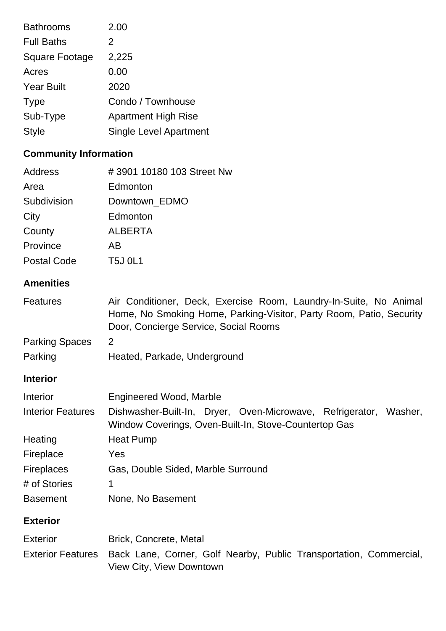| <b>Bathrooms</b>      | 2.00                          |
|-----------------------|-------------------------------|
| <b>Full Baths</b>     | 2                             |
| <b>Square Footage</b> | 2,225                         |
| Acres                 | 0.00                          |
| <b>Year Built</b>     | 2020                          |
| <b>Type</b>           | Condo / Townhouse             |
| Sub-Type              | <b>Apartment High Rise</b>    |
| <b>Style</b>          | <b>Single Level Apartment</b> |
|                       |                               |

## **Community Information**

| <b>Address</b>           | #3901 10180 103 Street Nw                                                                                                                                                         |
|--------------------------|-----------------------------------------------------------------------------------------------------------------------------------------------------------------------------------|
| Area                     | Edmonton                                                                                                                                                                          |
| Subdivision              | Downtown_EDMO                                                                                                                                                                     |
| City                     | Edmonton                                                                                                                                                                          |
| County                   | <b>ALBERTA</b>                                                                                                                                                                    |
| Province                 | AB                                                                                                                                                                                |
| <b>Postal Code</b>       | <b>T5J 0L1</b>                                                                                                                                                                    |
| <b>Amenities</b>         |                                                                                                                                                                                   |
| <b>Features</b>          | Air Conditioner, Deck, Exercise Room, Laundry-In-Suite, No Animal<br>Home, No Smoking Home, Parking-Visitor, Party Room, Patio, Security<br>Door, Concierge Service, Social Rooms |
| <b>Parking Spaces</b>    | $\overline{2}$                                                                                                                                                                    |
| Parking                  | Heated, Parkade, Underground                                                                                                                                                      |
| <b>Interior</b>          |                                                                                                                                                                                   |
| Interior                 | Engineered Wood, Marble                                                                                                                                                           |
| <b>Interior Features</b> | Dishwasher-Built-In, Dryer, Oven-Microwave, Refrigerator, Washer,<br>Window Coverings, Oven-Built-In, Stove-Countertop Gas                                                        |
| Heating                  | <b>Heat Pump</b>                                                                                                                                                                  |
| Fireplace                | Yes                                                                                                                                                                               |
| <b>Fireplaces</b>        | Gas, Double Sided, Marble Surround                                                                                                                                                |
| # of Stories             | 1                                                                                                                                                                                 |
| <b>Basement</b>          | None, No Basement                                                                                                                                                                 |
| <b>Exterior</b>          |                                                                                                                                                                                   |
| <b>Exterior</b>          | Brick, Concrete, Metal                                                                                                                                                            |
| <b>Exterior Features</b> | Back Lane, Corner, Golf Nearby, Public Transportation, Commercial,<br>View City, View Downtown                                                                                    |